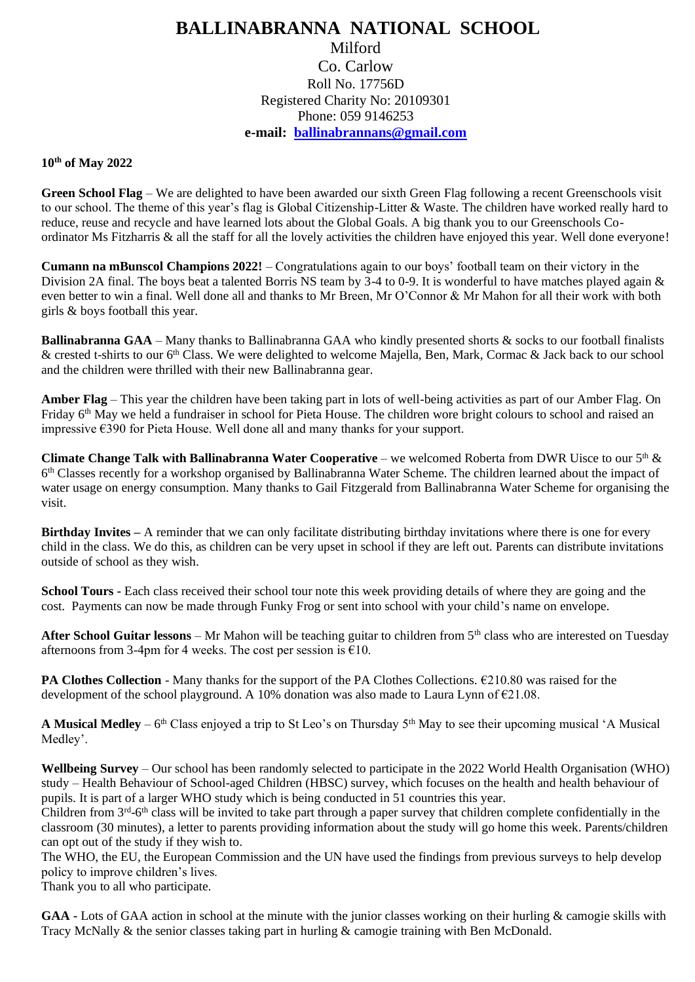## **BALLINABRANNA NATIONAL SCHOOL** Milford Co. Carlow Roll No. 17756D Registered Charity No: 20109301 Phone: 059 9146253 **e-mail: [ballinabrannans@gmail.com](mailto:ballinabrannans@gmail.com)**

**10th of May 2022**

**Green School Flag** – We are delighted to have been awarded our sixth Green Flag following a recent Greenschools visit to our school. The theme of this year's flag is Global Citizenship-Litter & Waste. The children have worked really hard to reduce, reuse and recycle and have learned lots about the Global Goals. A big thank you to our Greenschools Coordinator Ms Fitzharris & all the staff for all the lovely activities the children have enjoyed this year. Well done everyone!

**Cumann na mBunscol Champions 2022!** – Congratulations again to our boys' football team on their victory in the Division 2A final. The boys beat a talented Borris NS team by 3-4 to 0-9. It is wonderful to have matches played again  $\&$ even better to win a final. Well done all and thanks to Mr Breen, Mr O'Connor & Mr Mahon for all their work with both girls & boys football this year.

**Ballinabranna GAA** – Many thanks to Ballinabranna GAA who kindly presented shorts & socks to our football finalists & crested t-shirts to our 6th Class. We were delighted to welcome Majella, Ben, Mark, Cormac & Jack back to our school and the children were thrilled with their new Ballinabranna gear.

**Amber Flag** – This year the children have been taking part in lots of well-being activities as part of our Amber Flag. On Friday 6<sup>th</sup> May we held a fundraiser in school for Pieta House. The children wore bright colours to school and raised an impressive €390 for Pieta House. Well done all and many thanks for your support.

**Climate Change Talk with Ballinabranna Water Cooperative** – we welcomed Roberta from DWR Uisce to our 5<sup>th</sup> & 6<sup>th</sup> Classes recently for a workshop organised by Ballinabranna Water Scheme. The children learned about the impact of water usage on energy consumption. Many thanks to Gail Fitzgerald from Ballinabranna Water Scheme for organising the visit.

**Birthday Invites** – A reminder that we can only facilitate distributing birthday invitations where there is one for every child in the class. We do this, as children can be very upset in school if they are left out. Parents can distribute invitations outside of school as they wish.

**School Tours -** Each class received their school tour note this week providing details of where they are going and the cost. Payments can now be made through Funky Frog or sent into school with your child's name on envelope.

After School Guitar lessons – Mr Mahon will be teaching guitar to children from 5<sup>th</sup> class who are interested on Tuesday afternoons from 3-4pm for 4 weeks. The cost per session is  $\epsilon$ 10.

**PA Clothes Collection** - Many thanks for the support of the PA Clothes Collections. €210.80 was raised for the development of the school playground. A 10% donation was also made to Laura Lynn of  $\epsilon$ 21.08.

A Musical Medley – 6<sup>th</sup> Class enjoyed a trip to St Leo's on Thursday 5<sup>th</sup> May to see their upcoming musical 'A Musical Medley'.

**Wellbeing Survey** – Our school has been randomly selected to participate in the 2022 World Health Organisation (WHO) study – Health Behaviour of School-aged Children (HBSC) survey, which focuses on the health and health behaviour of pupils. It is part of a larger WHO study which is being conducted in 51 countries this year.

Children from  $3^{rd}$ -6<sup>th</sup> class will be invited to take part through a paper survey that children complete confidentially in the classroom (30 minutes), a letter to parents providing information about the study will go home this week. Parents/children can opt out of the study if they wish to.

The WHO, the EU, the European Commission and the UN have used the findings from previous surveys to help develop policy to improve children's lives.

Thank you to all who participate.

**GAA -** Lots of GAA action in school at the minute with the junior classes working on their hurling & camogie skills with Tracy McNally & the senior classes taking part in hurling & camogie training with Ben McDonald.